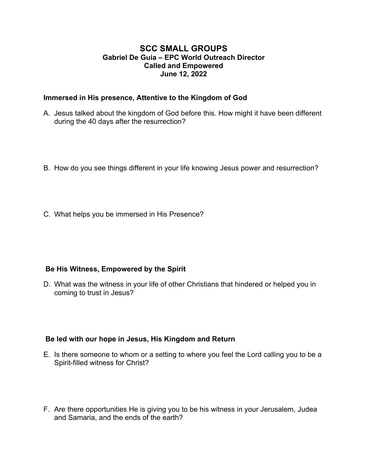## **SCC SMALL GROUPS Gabriel De Guia – EPC World Outreach Director Called and Empowered June 12, 2022**

#### **Immersed in His presence, Attentive to the Kingdom of God**

- A. Jesus talked about the kingdom of God before this. How might it have been different during the 40 days after the resurrection?
- B. How do you see things different in your life knowing Jesus power and resurrection?
- C. What helps you be immersed in His Presence?

### **Be His Witness, Empowered by the Spirit**

D. What was the witness in your life of other Christians that hindered or helped you in coming to trust in Jesus?

### **Be led with our hope in Jesus, His Kingdom and Return**

- E. Is there someone to whom or a setting to where you feel the Lord calling you to be a Spirit-filled witness for Christ?
- F. Are there opportunities He is giving you to be his witness in your Jerusalem, Judea and Samaria, and the ends of the earth?